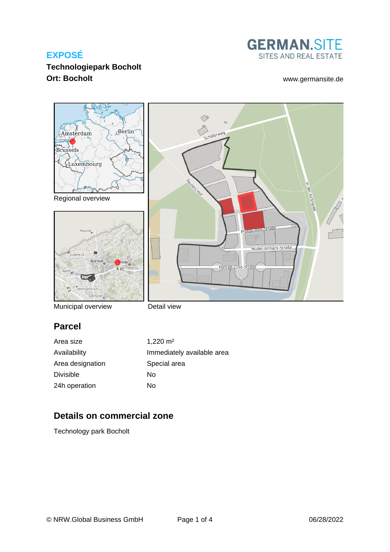### **Technologiepark Bocholt Ort: Bocholt** [www.germansite.de](http://www.germansite.de)





Regional overview





Municipal overview

Detail view

## **Parcel**

Area size 1,220 m<sup>2</sup> Area designation Special area Divisible No 24h operation No

Availability **Immediately** available area

## **Details on commercial zone**

Technology park Bocholt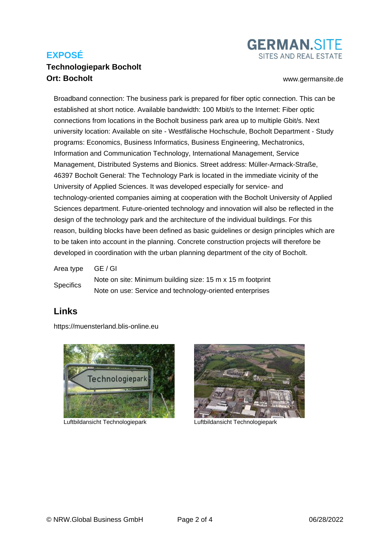### **Technologiepark Bocholt Ort: Bocholt** [www.germansite.de](http://www.germansite.de)



Broadband connection: The business park is prepared for fiber optic connection. This can be established at short notice. Available bandwidth: 100 Mbit/s to the Internet: Fiber optic connections from locations in the Bocholt business park area up to multiple Gbit/s. Next university location: Available on site - Westfälische Hochschule, Bocholt Department - Study programs: Economics, Business Informatics, Business Engineering, Mechatronics, Information and Communication Technology, International Management, Service Management, Distributed Systems and Bionics. Street address: Müller-Armack-Straße, 46397 Bocholt General: The Technology Park is located in the immediate vicinity of the University of Applied Sciences. It was developed especially for service- and technology-oriented companies aiming at cooperation with the Bocholt University of Applied Sciences department. Future-oriented technology and innovation will also be reflected in the design of the technology park and the architecture of the individual buildings. For this reason, building blocks have been defined as basic guidelines or design principles which are to be taken into account in the planning. Concrete construction projects will therefore be developed in coordination with the urban planning department of the city of Bocholt.

Area type GE / GI **Specifics** Note on site: Minimum building size: 15 m x 15 m footprint Note on use: Service and technology-oriented enterprises

#### **Links**

<https://muensterland.blis-online.eu>



Luftbildansicht Technologiepark Luftbildansicht Technologiepark

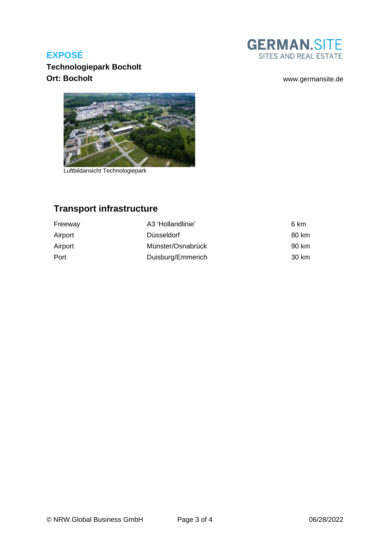

## **Tec[hnologiepark Bocholt](https://muensterland.blis-online.eu/images/muensterland/Photo/20AcgRgKqyVWEh6REVAxZ0h7JDr7O6i4.jpg) Ort: Bocholt** [www.germansite.de](http://www.germansite.de)



Luftbildansicht Technologiepark

# **Transport infrastructure**

| Freeway | A3 'Hollandlinie' | 6 km  |
|---------|-------------------|-------|
| Airport | Düsseldorf        | 80 km |
| Airport | Münster/Osnabrück | 90 km |
| Port    | Duisburg/Emmerich | 30 km |